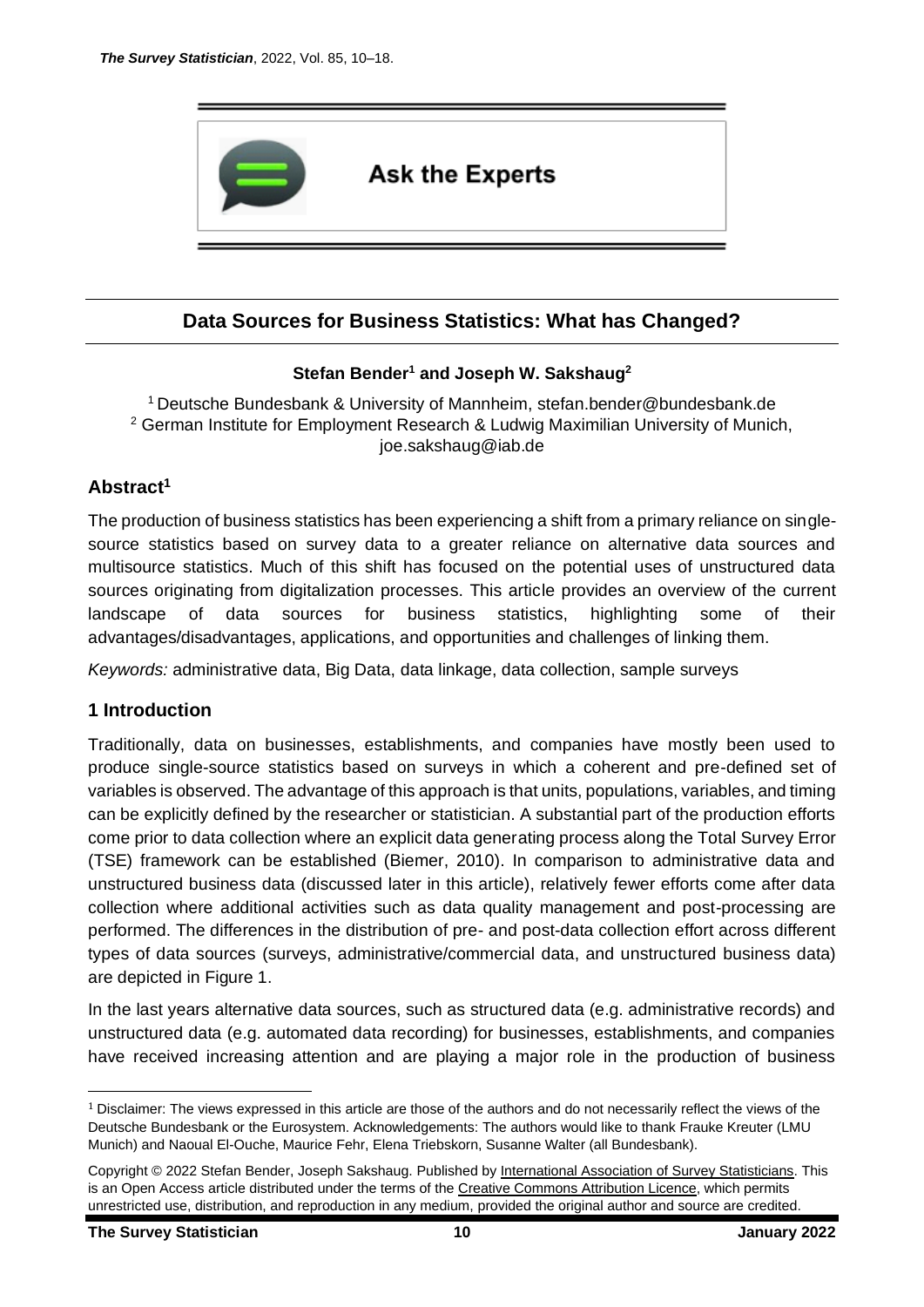

## **Data Sources for Business Statistics: What has Changed?**

### **Stefan Bender<sup>1</sup> and Joseph W. Sakshaug<sup>2</sup>**

<sup>1</sup>Deutsche Bundesbank & University of Mannheim, [stefan.bender@bundesbank.de](mailto:stefan.bender@bundesbank.de) <sup>2</sup> German Institute for Employment Research & Ludwig Maximilian University of Munich, [joe.sakshaug@iab.de](mailto:joe.sakshaug@iab.de)

### **Abstract<sup>1</sup>**

The production of business statistics has been experiencing a shift from a primary reliance on singlesource statistics based on survey data to a greater reliance on alternative data sources and multisource statistics. Much of this shift has focused on the potential uses of unstructured data sources originating from digitalization processes. This article provides an overview of the current landscape of data sources for business statistics, highlighting some of their advantages/disadvantages, applications, and opportunities and challenges of linking them.

*Keywords:* administrative data, Big Data, data linkage, data collection, sample surveys

### **1 Introduction**

Traditionally, data on businesses, establishments, and companies have mostly been used to produce single-source statistics based on surveys in which a coherent and pre-defined set of variables is observed. The advantage of this approach is that units, populations, variables, and timing can be explicitly defined by the researcher or statistician. A substantial part of the production efforts come prior to data collection where an explicit data generating process along the Total Survey Error (TSE) framework can be established (Biemer, 2010). In comparison to administrative data and unstructured business data (discussed later in this article), relatively fewer efforts come after data collection where additional activities such as data quality management and post-processing are performed. The differences in the distribution of pre- and post-data collection effort across different types of data sources (surveys, administrative/commercial data, and unstructured business data) are depicted in Figure 1.

In the last years alternative data sources, such as structured data (e.g. administrative records) and unstructured data (e.g. automated data recording) for businesses, establishments, and companies have received increasing attention and are playing a major role in the production of business

 $1$  Disclaimer: The views expressed in this article are those of the authors and do not necessarily reflect the views of the Deutsche Bundesbank or the Eurosystem. Acknowledgements: The authors would like to thank Frauke Kreuter (LMU Munich) and Naoual El-Ouche, Maurice Fehr, Elena Triebskorn, Susanne Walter (all Bundesbank).

Copyright © 2022 Stefan Bender, Joseph Sakshaug. Published b[y International Association of Survey Statisticians.](http://isi-iass.org/home/services/the-survey-statistician/) This is an Open Access article distributed under the terms of the [Creative Commons Attribution Licence,](https://creativecommons.org/licenses/by/4.0/) which permits unrestricted use, distribution, and reproduction in any medium, provided the original author and source are credited.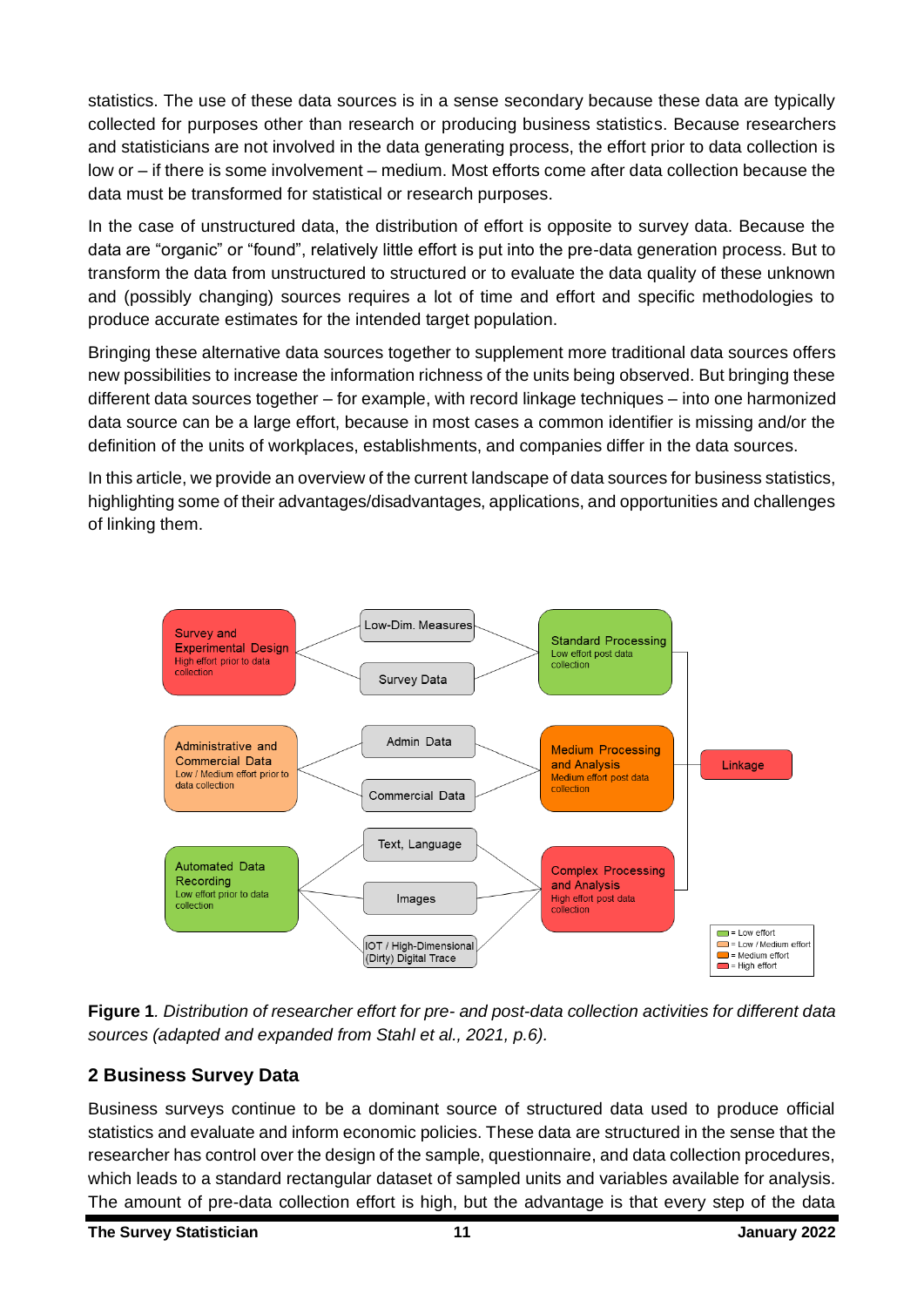statistics. The use of these data sources is in a sense secondary because these data are typically collected for purposes other than research or producing business statistics. Because researchers and statisticians are not involved in the data generating process, the effort prior to data collection is low or – if there is some involvement – medium. Most efforts come after data collection because the data must be transformed for statistical or research purposes.

In the case of unstructured data, the distribution of effort is opposite to survey data. Because the data are "organic" or "found", relatively little effort is put into the pre-data generation process. But to transform the data from unstructured to structured or to evaluate the data quality of these unknown and (possibly changing) sources requires a lot of time and effort and specific methodologies to produce accurate estimates for the intended target population.

Bringing these alternative data sources together to supplement more traditional data sources offers new possibilities to increase the information richness of the units being observed. But bringing these different data sources together – for example, with record linkage techniques – into one harmonized data source can be a large effort, because in most cases a common identifier is missing and/or the definition of the units of workplaces, establishments, and companies differ in the data sources.

In this article, we provide an overview of the current landscape of data sources for business statistics, highlighting some of their advantages/disadvantages, applications, and opportunities and challenges of linking them.



**Figure 1***. Distribution of researcher effort for pre- and post-data collection activities for different data sources (adapted and expanded from Stahl et al., 2021, p.6).*

# **2 Business Survey Data**

Business surveys continue to be a dominant source of structured data used to produce official statistics and evaluate and inform economic policies. These data are structured in the sense that the researcher has control over the design of the sample, questionnaire, and data collection procedures, which leads to a standard rectangular dataset of sampled units and variables available for analysis. The amount of pre-data collection effort is high, but the advantage is that every step of the data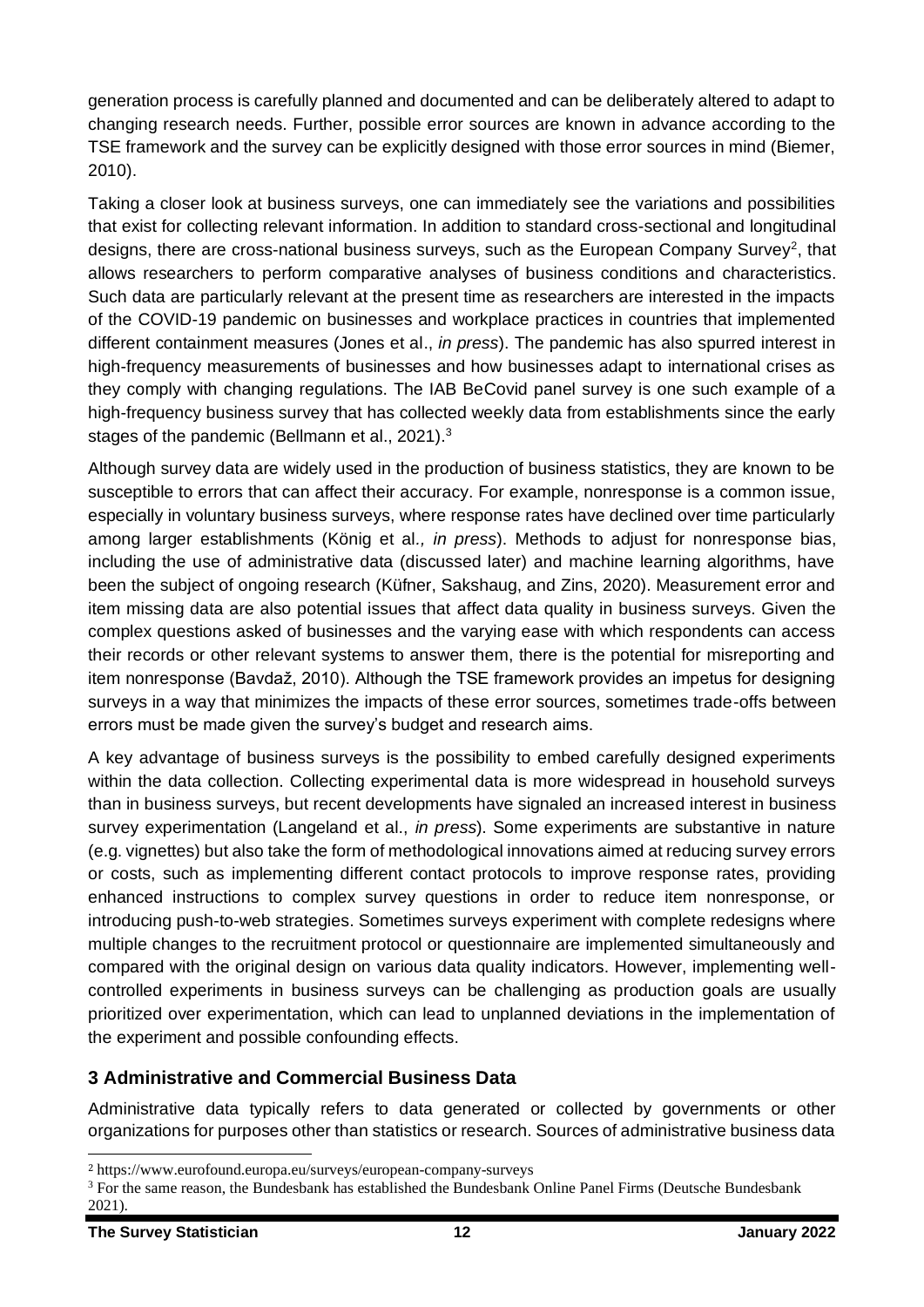generation process is carefully planned and documented and can be deliberately altered to adapt to changing research needs. Further, possible error sources are known in advance according to the TSE framework and the survey can be explicitly designed with those error sources in mind (Biemer, 2010).

Taking a closer look at business surveys, one can immediately see the variations and possibilities that exist for collecting relevant information. In addition to standard cross-sectional and longitudinal designs, there are cross-national business surveys, such as the European Company Survey<sup>2</sup>, that allows researchers to perform comparative analyses of business conditions and characteristics. Such data are particularly relevant at the present time as researchers are interested in the impacts of the COVID-19 pandemic on businesses and workplace practices in countries that implemented different containment measures (Jones et al., *in press*). The pandemic has also spurred interest in high-frequency measurements of businesses and how businesses adapt to international crises as they comply with changing regulations. The IAB BeCovid panel survey is one such example of a high-frequency business survey that has collected weekly data from establishments since the early stages of the pandemic (Bellmann et al., 2021).<sup>3</sup>

Although survey data are widely used in the production of business statistics, they are known to be susceptible to errors that can affect their accuracy. For example, nonresponse is a common issue, especially in voluntary business surveys, where response rates have declined over time particularly among larger establishments (König et al*., in press*). Methods to adjust for nonresponse bias, including the use of administrative data (discussed later) and machine learning algorithms, have been the subject of ongoing research (Küfner, Sakshaug, and Zins, 2020). Measurement error and item missing data are also potential issues that affect data quality in business surveys. Given the complex questions asked of businesses and the varying ease with which respondents can access their records or other relevant systems to answer them, there is the potential for misreporting and item nonresponse (Bavdaž, 2010). Although the TSE framework provides an impetus for designing surveys in a way that minimizes the impacts of these error sources, sometimes trade-offs between errors must be made given the survey's budget and research aims.

A key advantage of business surveys is the possibility to embed carefully designed experiments within the data collection. Collecting experimental data is more widespread in household surveys than in business surveys, but recent developments have signaled an increased interest in business survey experimentation (Langeland et al., *in press*). Some experiments are substantive in nature (e.g. vignettes) but also take the form of methodological innovations aimed at reducing survey errors or costs, such as implementing different contact protocols to improve response rates, providing enhanced instructions to complex survey questions in order to reduce item nonresponse, or introducing push-to-web strategies. Sometimes surveys experiment with complete redesigns where multiple changes to the recruitment protocol or questionnaire are implemented simultaneously and compared with the original design on various data quality indicators. However, implementing wellcontrolled experiments in business surveys can be challenging as production goals are usually prioritized over experimentation, which can lead to unplanned deviations in the implementation of the experiment and possible confounding effects.

## **3 Administrative and Commercial Business Data**

Administrative data typically refers to data generated or collected by governments or other organizations for purposes other than statistics or research. Sources of administrative business data

<sup>2</sup> https://www.eurofound.europa.eu/surveys/european-company-surveys

<sup>3</sup> For the same reason, the Bundesbank has established the Bundesbank Online Panel Firms (Deutsche Bundesbank 2021).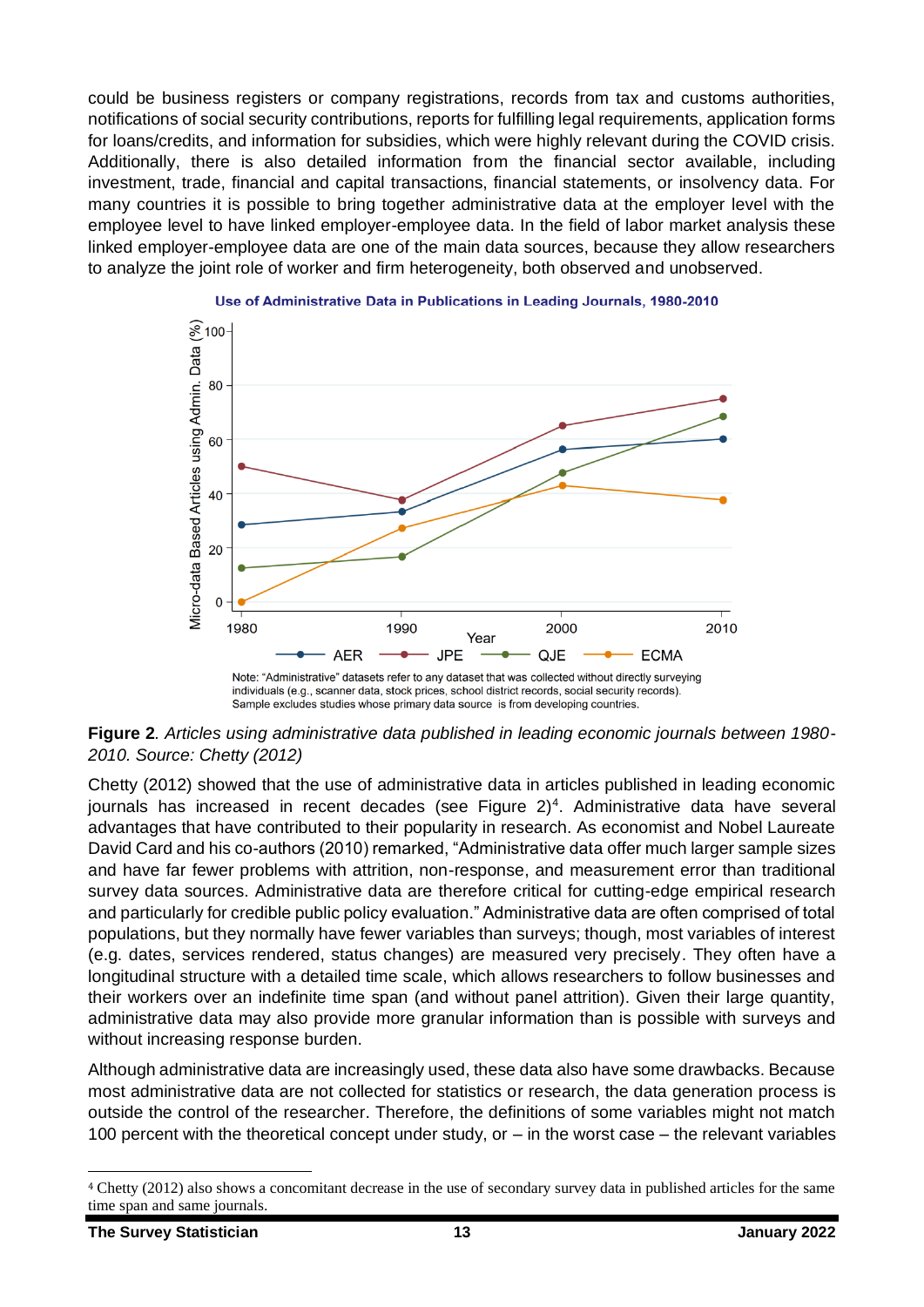could be business registers or company registrations, records from tax and customs authorities, notifications of social security contributions, reports for fulfilling legal requirements, application forms for loans/credits, and information for subsidies, which were highly relevant during the COVID crisis. Additionally, there is also detailed information from the financial sector available, including investment, trade, financial and capital transactions, financial statements, or insolvency data. For many countries it is possible to bring together administrative data at the employer level with the employee level to have linked employer-employee data. In the field of labor market analysis these linked employer-employee data are one of the main data sources, because they allow researchers to analyze the joint role of worker and firm heterogeneity, both observed and unobserved.



#### Use of Administrative Data in Publications in Leading Journals, 1980-2010

**Figure 2***. Articles using administrative data published in leading economic journals between 1980- 2010. Source: Chetty (2012)*

Sample excludes studies whose primary data source is from developing countries.

Chetty (2012) showed that the use of administrative data in articles published in leading economic journals has increased in recent decades (see Figure  $2)^4$ . Administrative data have several advantages that have contributed to their popularity in research. As economist and Nobel Laureate David Card and his co-authors (2010) remarked, "Administrative data offer much larger sample sizes and have far fewer problems with attrition, non-response, and measurement error than traditional survey data sources. Administrative data are therefore critical for cutting-edge empirical research and particularly for credible public policy evaluation." Administrative data are often comprised of total populations, but they normally have fewer variables than surveys; though, most variables of interest (e.g. dates, services rendered, status changes) are measured very precisely. They often have a longitudinal structure with a detailed time scale, which allows researchers to follow businesses and their workers over an indefinite time span (and without panel attrition). Given their large quantity, administrative data may also provide more granular information than is possible with surveys and without increasing response burden.

Although administrative data are increasingly used, these data also have some drawbacks. Because most administrative data are not collected for statistics or research, the data generation process is outside the control of the researcher. Therefore, the definitions of some variables might not match 100 percent with the theoretical concept under study, or – in the worst case – the relevant variables

<sup>4</sup> Chetty (2012) also shows a concomitant decrease in the use of secondary survey data in published articles for the same time span and same journals.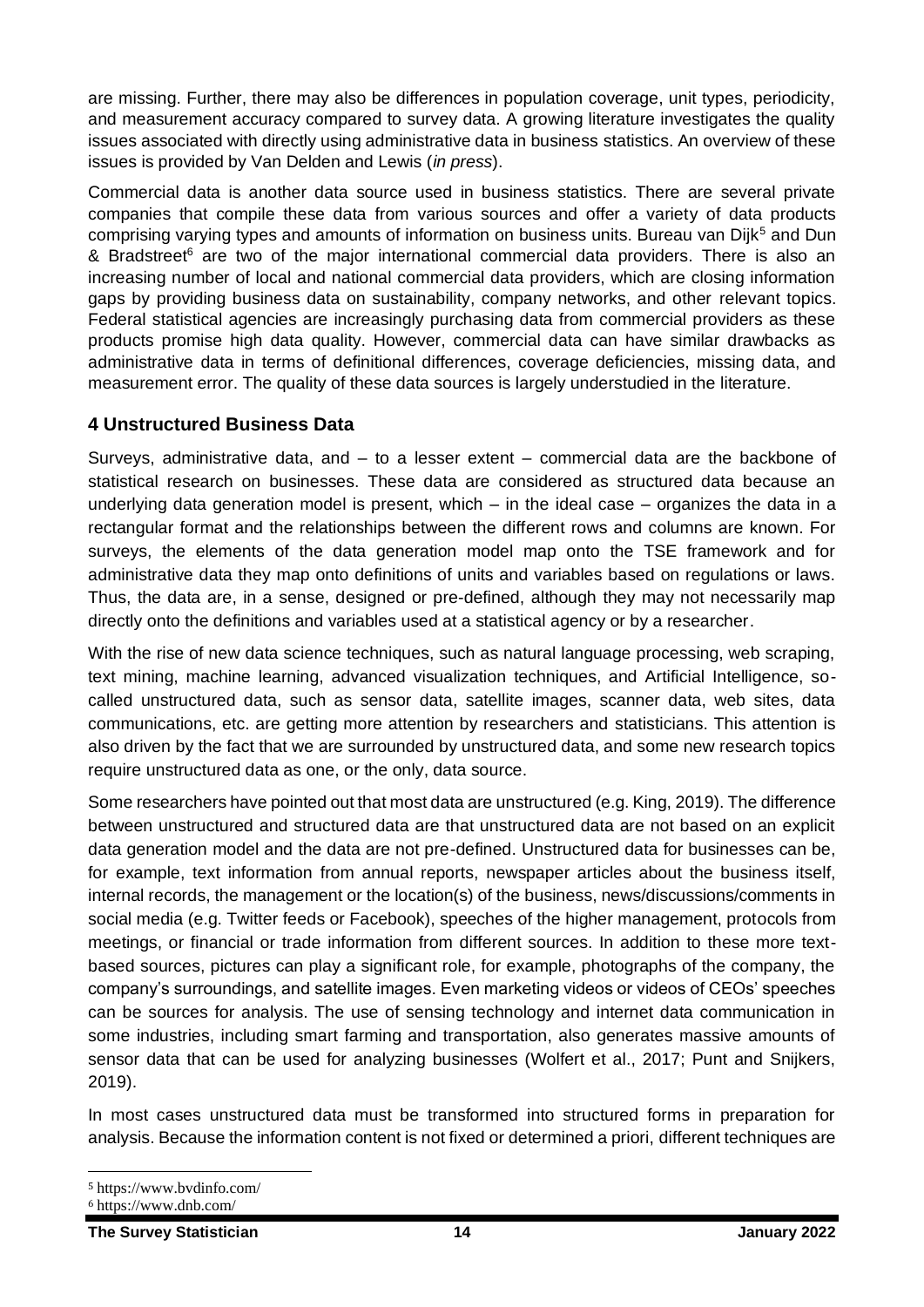are missing. Further, there may also be differences in population coverage, unit types, periodicity, and measurement accuracy compared to survey data. A growing literature investigates the quality issues associated with directly using administrative data in business statistics. An overview of these issues is provided by Van Delden and Lewis (*in press*).

Commercial data is another data source used in business statistics. There are several private companies that compile these data from various sources and offer a variety of data products comprising varying types and amounts of information on business units. Bureau van Dijk<sup>5</sup> and Dun & Bradstreet<sup>6</sup> are two of the major international commercial data providers. There is also an increasing number of local and national commercial data providers, which are closing information gaps by providing business data on sustainability, company networks, and other relevant topics. Federal statistical agencies are increasingly purchasing data from commercial providers as these products promise high data quality. However, commercial data can have similar drawbacks as administrative data in terms of definitional differences, coverage deficiencies, missing data, and measurement error. The quality of these data sources is largely understudied in the literature.

## **4 Unstructured Business Data**

Surveys, administrative data, and – to a lesser extent – commercial data are the backbone of statistical research on businesses. These data are considered as structured data because an underlying data generation model is present, which – in the ideal case – organizes the data in a rectangular format and the relationships between the different rows and columns are known. For surveys, the elements of the data generation model map onto the TSE framework and for administrative data they map onto definitions of units and variables based on regulations or laws. Thus, the data are, in a sense, designed or pre-defined, although they may not necessarily map directly onto the definitions and variables used at a statistical agency or by a researcher.

With the rise of new data science techniques, such as natural language processing, web scraping, text mining, machine learning, advanced visualization techniques, and Artificial Intelligence, socalled unstructured data, such as sensor data, satellite images, scanner data, web sites, data communications, etc. are getting more attention by researchers and statisticians. This attention is also driven by the fact that we are surrounded by unstructured data, and some new research topics require unstructured data as one, or the only, data source.

Some researchers have pointed out that most data are unstructured (e.g. King, 2019). The difference between unstructured and structured data are that unstructured data are not based on an explicit data generation model and the data are not pre-defined. Unstructured data for businesses can be, for example, text information from annual reports, newspaper articles about the business itself, internal records, the management or the location(s) of the business, news/discussions/comments in social media (e.g. Twitter feeds or Facebook), speeches of the higher management, protocols from meetings, or financial or trade information from different sources. In addition to these more textbased sources, pictures can play a significant role, for example, photographs of the company, the company's surroundings, and satellite images. Even marketing videos or videos of CEOs' speeches can be sources for analysis. The use of sensing technology and internet data communication in some industries, including smart farming and transportation, also generates massive amounts of sensor data that can be used for analyzing businesses (Wolfert et al., 2017; Punt and Snijkers, 2019).

In most cases unstructured data must be transformed into structured forms in preparation for analysis. Because the information content is not fixed or determined a priori, different techniques are

<sup>5</sup> https://www.bvdinfo.com/

<sup>6</sup> https://www.dnb.com/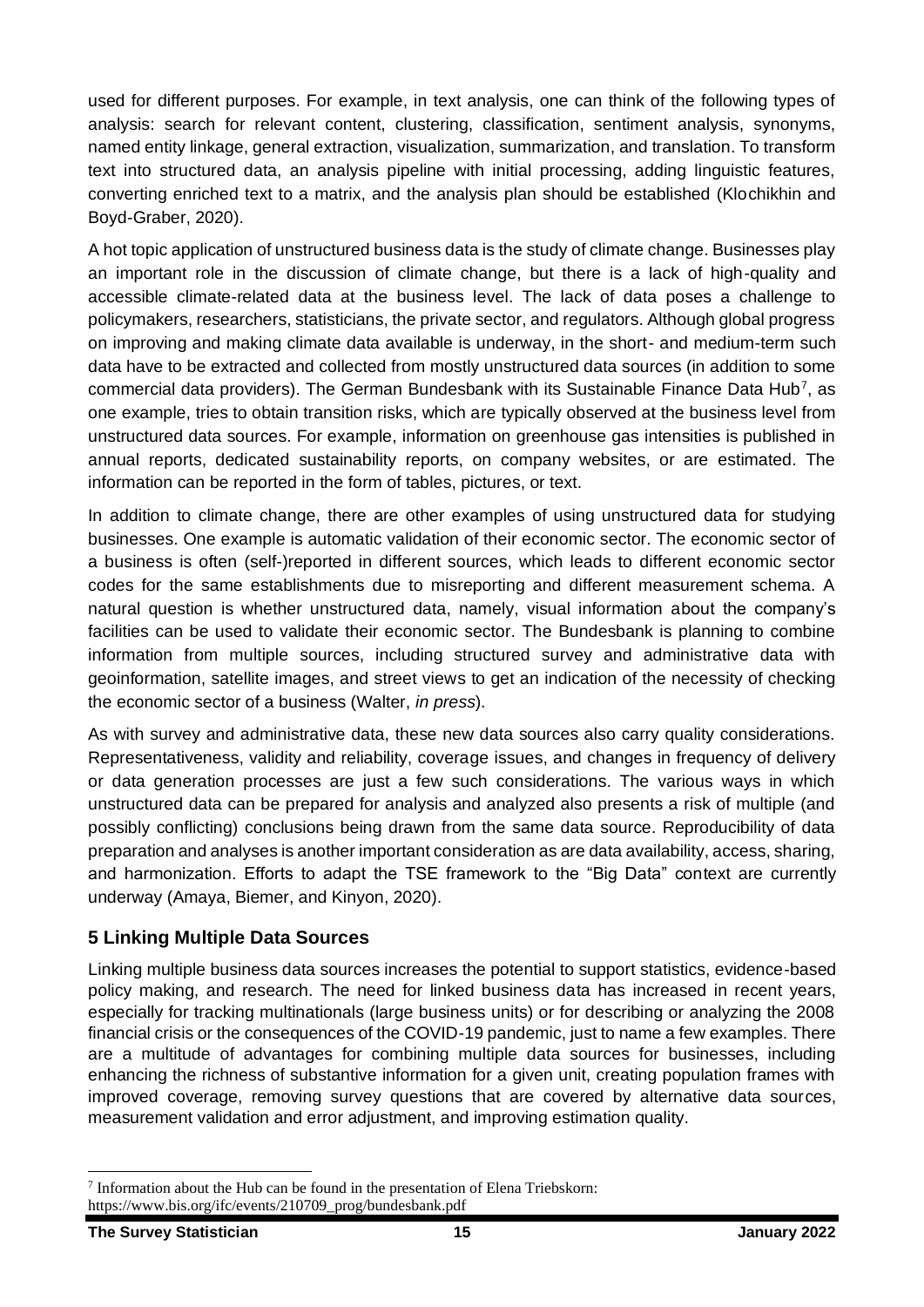used for different purposes. For example, in text analysis, one can think of the following types of analysis: search for relevant content, clustering, classification, sentiment analysis, synonyms, named entity linkage, general extraction, visualization, summarization, and translation. To transform text into structured data, an analysis pipeline with initial processing, adding linguistic features, converting enriched text to a matrix, and the analysis plan should be established (Klochikhin and Boyd-Graber, 2020).

A hot topic application of unstructured business data is the study of climate change. Businesses play an important role in the discussion of climate change, but there is a lack of high-quality and accessible climate-related data at the business level. The lack of data poses a challenge to policymakers, researchers, statisticians, the private sector, and regulators. Although global progress on improving and making climate data available is underway, in the short- and medium-term such data have to be extracted and collected from mostly unstructured data sources (in addition to some commercial data providers). The German Bundesbank with its Sustainable Finance Data Hub<sup>7</sup>, as one example, tries to obtain transition risks, which are typically observed at the business level from unstructured data sources. For example, information on greenhouse gas intensities is published in annual reports, dedicated sustainability reports, on company websites, or are estimated. The information can be reported in the form of tables, pictures, or text.

In addition to climate change, there are other examples of using unstructured data for studying businesses. One example is automatic validation of their economic sector. The economic sector of a business is often (self-)reported in different sources, which leads to different economic sector codes for the same establishments due to misreporting and different measurement schema. A natural question is whether unstructured data, namely, visual information about the company's facilities can be used to validate their economic sector. The Bundesbank is planning to combine information from multiple sources, including structured survey and administrative data with geoinformation, satellite images, and street views to get an indication of the necessity of checking the economic sector of a business (Walter, *in press*).

As with survey and administrative data, these new data sources also carry quality considerations. Representativeness, validity and reliability, coverage issues, and changes in frequency of delivery or data generation processes are just a few such considerations. The various ways in which unstructured data can be prepared for analysis and analyzed also presents a risk of multiple (and possibly conflicting) conclusions being drawn from the same data source. Reproducibility of data preparation and analyses is another important consideration as are data availability, access, sharing, and harmonization. Efforts to adapt the TSE framework to the "Big Data" context are currently underway (Amaya, Biemer, and Kinyon, 2020).

## **5 Linking Multiple Data Sources**

Linking multiple business data sources increases the potential to support statistics, evidence-based policy making, and research. The need for linked business data has increased in recent years, especially for tracking multinationals (large business units) or for describing or analyzing the 2008 financial crisis or the consequences of the COVID-19 pandemic, just to name a few examples. There are a multitude of advantages for combining multiple data sources for businesses, including enhancing the richness of substantive information for a given unit, creating population frames with improved coverage, removing survey questions that are covered by alternative data sources, measurement validation and error adjustment, and improving estimation quality.

 $<sup>7</sup>$  Information about the Hub can be found in the presentation of Elena Triebskorn:</sup> https://www.bis.org/ifc/events/210709\_prog/bundesbank.pdf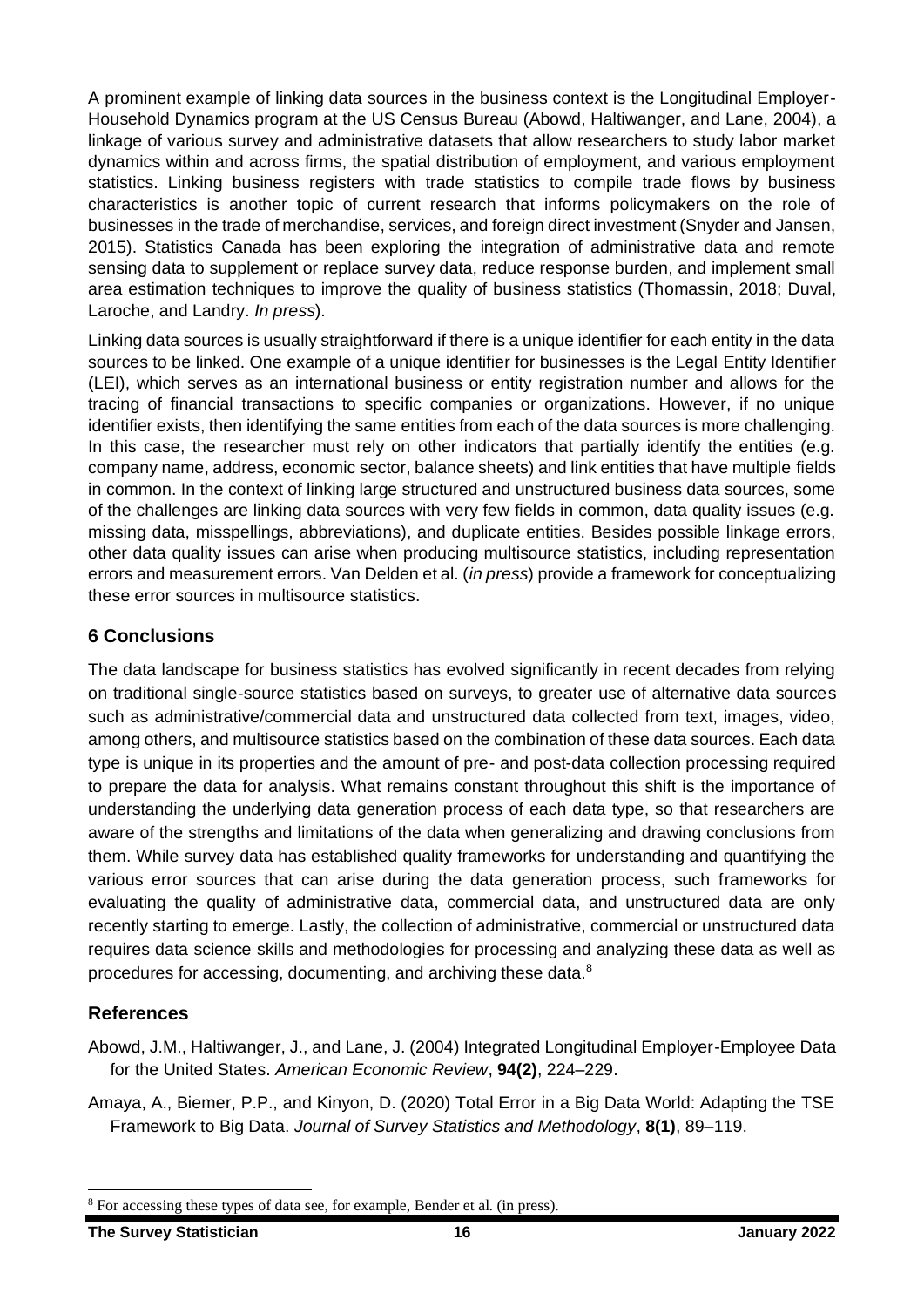A prominent example of linking data sources in the business context is the Longitudinal Employer-Household Dynamics program at the US Census Bureau (Abowd, Haltiwanger, and Lane, 2004), a linkage of various survey and administrative datasets that allow researchers to study labor market dynamics within and across firms, the spatial distribution of employment, and various employment statistics. Linking business registers with trade statistics to compile trade flows by business characteristics is another topic of current research that informs policymakers on the role of businesses in the trade of merchandise, services, and foreign direct investment (Snyder and Jansen, 2015). Statistics Canada has been exploring the integration of administrative data and remote sensing data to supplement or replace survey data, reduce response burden, and implement small area estimation techniques to improve the quality of business statistics (Thomassin, 2018; Duval, Laroche, and Landry. *In press*).

Linking data sources is usually straightforward if there is a unique identifier for each entity in the data sources to be linked. One example of a unique identifier for businesses is the Legal Entity Identifier (LEI), which serves as an international business or entity registration number and allows for the tracing of financial transactions to specific companies or organizations. However, if no unique identifier exists, then identifying the same entities from each of the data sources is more challenging. In this case, the researcher must rely on other indicators that partially identify the entities (e.g. company name, address, economic sector, balance sheets) and link entities that have multiple fields in common. In the context of linking large structured and unstructured business data sources, some of the challenges are linking data sources with very few fields in common, data quality issues (e.g. missing data, misspellings, abbreviations), and duplicate entities. Besides possible linkage errors, other data quality issues can arise when producing multisource statistics, including representation errors and measurement errors. Van Delden et al. (*in press*) provide a framework for conceptualizing these error sources in multisource statistics.

# **6 Conclusions**

The data landscape for business statistics has evolved significantly in recent decades from relying on traditional single-source statistics based on surveys, to greater use of alternative data sources such as administrative/commercial data and unstructured data collected from text, images, video, among others, and multisource statistics based on the combination of these data sources. Each data type is unique in its properties and the amount of pre- and post-data collection processing required to prepare the data for analysis. What remains constant throughout this shift is the importance of understanding the underlying data generation process of each data type, so that researchers are aware of the strengths and limitations of the data when generalizing and drawing conclusions from them. While survey data has established quality frameworks for understanding and quantifying the various error sources that can arise during the data generation process, such frameworks for evaluating the quality of administrative data, commercial data, and unstructured data are only recently starting to emerge. Lastly, the collection of administrative, commercial or unstructured data requires data science skills and methodologies for processing and analyzing these data as well as procedures for accessing, documenting, and archiving these data.<sup>8</sup>

# **References**

- Abowd, J.M., Haltiwanger, J., and Lane, J. (2004) Integrated Longitudinal Employer-Employee Data for the United States. *American Economic Review*, **94(2)**, 224–229.
- Amaya, A., Biemer, P.P., and Kinyon, D. (2020) Total Error in a Big Data World: Adapting the TSE Framework to Big Data. *Journal of Survey Statistics and Methodology*, **8(1)**, 89–119.

<sup>&</sup>lt;sup>8</sup> For accessing these types of data see, for example, Bender et al. (in press).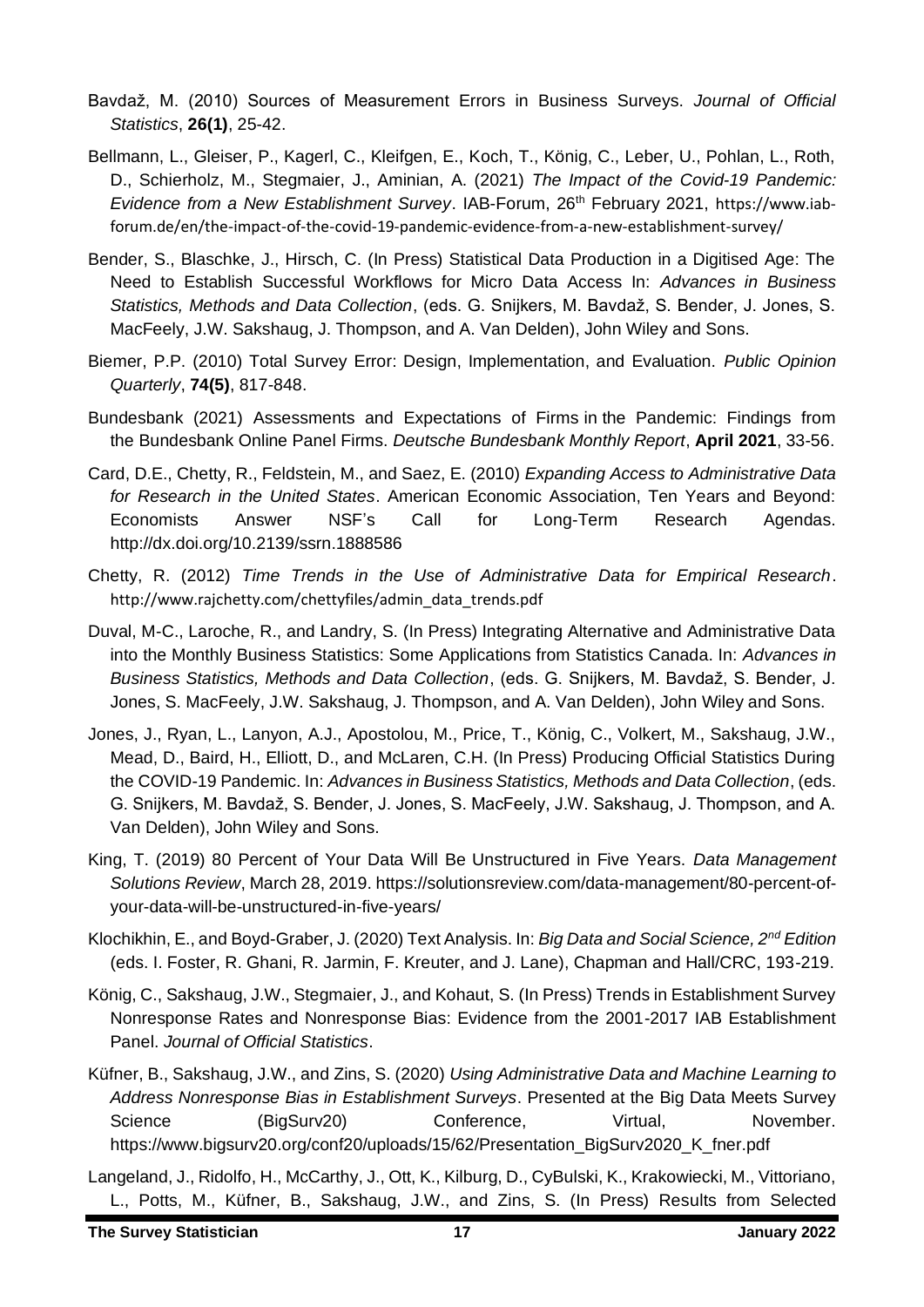- Bavdaž, M. (2010) Sources of Measurement Errors in Business Surveys. *Journal of Official Statistics*, **26(1)**, 25-42.
- Bellmann, L., Gleiser, P., Kagerl, C., Kleifgen, E., Koch, T., König, C., Leber, U., Pohlan, L., Roth, D., Schierholz, M., Stegmaier, J., Aminian, A. (2021) *The Impact of the Covid-19 Pandemic: Evidence from a New Establishment Survey*. IAB-Forum, 26th February 2021, [https://www.iab](https://www.iab-forum.de/en/the-impact-of-the-covid-19-pandemic-evidence-from-a-new-establishment-survey/)[forum.de/en/the-impact-of-the-covid-19-pandemic-evidence-from-a-new-establishment-survey/](https://www.iab-forum.de/en/the-impact-of-the-covid-19-pandemic-evidence-from-a-new-establishment-survey/)
- Bender, S., Blaschke, J., Hirsch, C. (In Press) Statistical Data Production in a Digitised Age: The Need to Establish Successful Workflows for Micro Data Access In: *Advances in Business Statistics, Methods and Data Collection*, (eds. G. Snijkers, M. Bavdaž, S. Bender, J. Jones, S. MacFeely, J.W. Sakshaug, J. Thompson, and A. Van Delden), John Wiley and Sons.
- Biemer, P.P. (2010) Total Survey Error: Design, Implementation, and Evaluation. *Public Opinion Quarterly*, **74(5)**, 817-848.
- Bundesbank (2021) Assessments and Expectations of Firms in the Pandemic: Findings from the Bundesbank Online Panel Firms. *Deutsche Bundesbank Monthly Report*, **April 2021**, 33-56.
- Card, D.E., Chetty, R., Feldstein, M., and Saez, E. (2010) *Expanding Access to Administrative Data for Research in the United States*. American Economic Association, Ten Years and Beyond: Economists Answer NSF's Call for Long-Term Research Agendas. <http://dx.doi.org/10.2139/ssrn.1888586>
- Chetty, R. (2012) *Time Trends in the Use of Administrative Data for Empirical Research*. [http://www.rajchetty.com/chettyfiles/admin\\_data\\_trends.pdf](http://www.rajchetty.com/chettyfiles/admin_data_trends.pdf)
- Duval, M-C., Laroche, R., and Landry, S. (In Press) Integrating Alternative and Administrative Data into the Monthly Business Statistics: Some Applications from Statistics Canada. In: *Advances in Business Statistics, Methods and Data Collection*, (eds. G. Snijkers, M. Bavdaž, S. Bender, J. Jones, S. MacFeely, J.W. Sakshaug, J. Thompson, and A. Van Delden), John Wiley and Sons.
- Jones, J., Ryan, L., Lanyon, A.J., Apostolou, M., Price, T., König, C., Volkert, M., Sakshaug, J.W., Mead, D., Baird, H., Elliott, D., and McLaren, C.H. (In Press) Producing Official Statistics During the COVID-19 Pandemic. In: *Advances in Business Statistics, Methods and Data Collection*, (eds. G. Snijkers, M. Bavdaž, S. Bender, J. Jones, S. MacFeely, J.W. Sakshaug, J. Thompson, and A. Van Delden), John Wiley and Sons.
- King, T. (2019) 80 Percent of Your Data Will Be Unstructured in Five Years. *Data Management Solutions Review*, March 28, 2019. [https://solutionsreview.com/data-management/80-percent-of](https://solutionsreview.com/data-management/80-percent-of-your-data-will-be-unstructured-in-five-years/)[your-data-will-be-unstructured-in-five-years/](https://solutionsreview.com/data-management/80-percent-of-your-data-will-be-unstructured-in-five-years/)
- Klochikhin, E., and Boyd-Graber, J. (2020) Text Analysis. In: *Big Data and Social Science, 2nd Edition* (eds. I. Foster, R. Ghani, R. Jarmin, F. Kreuter, and J. Lane), Chapman and Hall/CRC, 193-219.
- König, C., Sakshaug, J.W., Stegmaier, J., and Kohaut, S. (In Press) Trends in Establishment Survey Nonresponse Rates and Nonresponse Bias: Evidence from the 2001-2017 IAB Establishment Panel. *Journal of Official Statistics*.
- Küfner, B., Sakshaug, J.W., and Zins, S. (2020) *Using Administrative Data and Machine Learning to Address Nonresponse Bias in Establishment Surveys*. Presented at the Big Data Meets Survey Science (BigSurv20) Conference, Virtual, November. [https://www.bigsurv20.org/conf20/uploads/15/62/Presentation\\_BigSurv2020\\_K\\_fner.pdf](https://www.bigsurv20.org/conf20/uploads/15/62/Presentation_BigSurv2020_K_fner.pdf)
- Langeland, J., Ridolfo, H., McCarthy, J., Ott, K., Kilburg, D., CyBulski, K., Krakowiecki, M., Vittoriano, L., Potts, M., Küfner, B., Sakshaug, J.W., and Zins, S. (In Press) Results from Selected